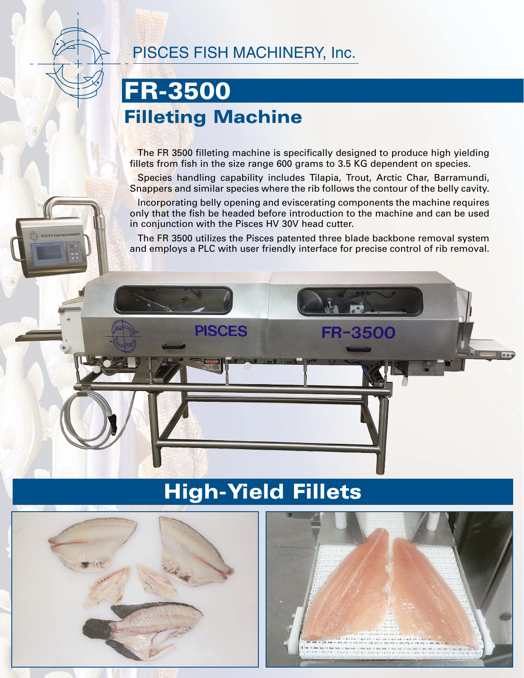

#### PISCES FISH MACHINERY, Inc.

### **FR-3500 Filleting Machine**

The FR 3500 filleting machine is specifically designed to produce high yielding fillets from fish in the size range 600 grams to 3.5 KG dependent on species.

Species handling capability includes Tilapia, Trout, Arctic Char, Barramundi, Snappers and similar species where the rib follows the contour of the belly cavity.

Incorporating belly opening and eviscerating components the machine requires only that the fish be headed before introduction to the machine and can be used in conjunction with the Pisces HV 30V head cutter.

The FR 3500 utilizes the Pisces patented three blade backbone removal system and employs a PLC with user friendly interface for precise control of rib removal.



## **High-Yield Fillets**